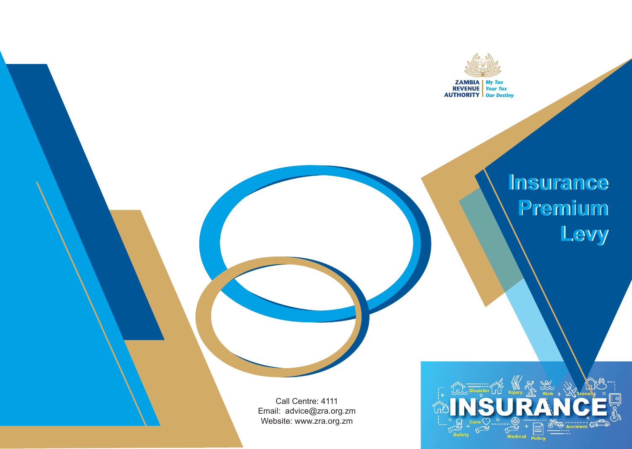

# **Insurance Insurance Premium Premium Levy Levy**

Call Centre: 4111 Email: advice@zra.org.zm Website: www.zra.org.zm